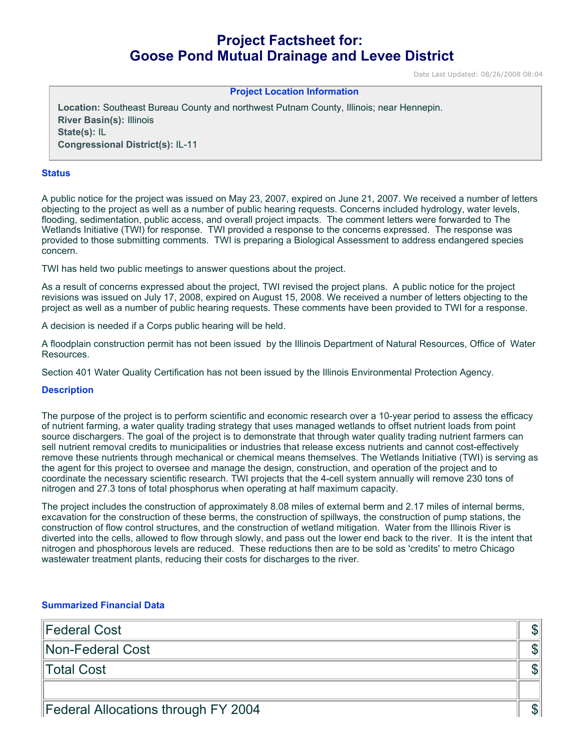# **Project Factsheet for: Goose Pond Mutual Drainage and Levee District**

Date Last Updated: 08/26/2008 08:04

#### **Project Location Information**

**Location:** Southeast Bureau County and northwest Putnam County, Illinois; near Hennepin. **River Basin(s):** Illinois **State(s):** IL **Congressional District(s):** IL-11

#### **Status**

A public notice for the project was issued on May 23, 2007, expired on June 21, 2007. We received a number of letters objecting to the project as well as a number of public hearing requests. Concerns included hydrology, water levels, flooding, sedimentation, public access, and overall project impacts. The comment letters were forwarded to The Wetlands Initiative (TWI) for response. TWI provided a response to the concerns expressed. The response was provided to those submitting comments. TWI is preparing a Biological Assessment to address endangered species concern.

TWI has held two public meetings to answer questions about the project.

As a result of concerns expressed about the project, TWI revised the project plans. A public notice for the project revisions was issued on July 17, 2008, expired on August 15, 2008. We received a number of letters objecting to the project as well as a number of public hearing requests. These comments have been provided to TWI for a response.

A decision is needed if a Corps public hearing will be held.

A floodplain construction permit has not been issued by the Illinois Department of Natural Resources, Office of Water Resources.

Section 401 Water Quality Certification has not been issued by the Illinois Environmental Protection Agency.

#### **Description**

The purpose of the project is to perform scientific and economic research over a 10-year period to assess the efficacy of nutrient farming, a water quality trading strategy that uses managed wetlands to offset nutrient loads from point source dischargers. The goal of the project is to demonstrate that through water quality trading nutrient farmers can sell nutrient removal credits to municipalities or industries that release excess nutrients and cannot cost-effectively remove these nutrients through mechanical or chemical means themselves. The Wetlands Initiative (TWI) is serving as the agent for this project to oversee and manage the design, construction, and operation of the project and to coordinate the necessary scientific research. TWI projects that the 4-cell system annually will remove 230 tons of nitrogen and 27.3 tons of total phosphorus when operating at half maximum capacity.

The project includes the construction of approximately 8.08 miles of external berm and 2.17 miles of internal berms, excavation for the construction of these berms, the construction of spillways, the construction of pump stations, the construction of flow control structures, and the construction of wetland mitigation. Water from the Illinois River is diverted into the cells, allowed to flow through slowly, and pass out the lower end back to the river. It is the intent that nitrogen and phosphorous levels are reduced. These reductions then are to be sold as 'credits' to metro Chicago wastewater treatment plants, reducing their costs for discharges to the river.

### **Summarized Financial Data**

| Federal Cost                        |  |
|-------------------------------------|--|
| Non-Federal Cost                    |  |
| Total Cost                          |  |
|                                     |  |
| Federal Allocations through FY 2004 |  |